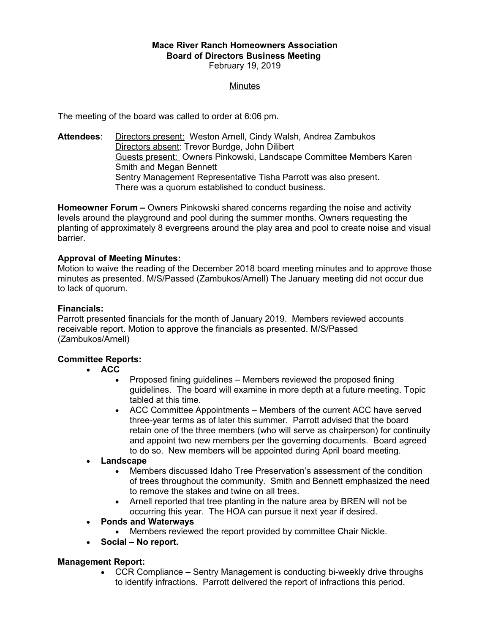#### **Mace River Ranch Homeowners Association Board of Directors Business Meeting**  February 19, 2019

#### **Minutes**

The meeting of the board was called to order at 6:06 pm.

**Attendees**: Directors present: Weston Arnell, Cindy Walsh, Andrea Zambukos Directors absent: Trevor Burdge, John Dilibert Guests present: Owners Pinkowski, Landscape Committee Members Karen Smith and Megan Bennett Sentry Management Representative Tisha Parrott was also present. There was a quorum established to conduct business.

**Homeowner Forum –** Owners Pinkowski shared concerns regarding the noise and activity levels around the playground and pool during the summer months. Owners requesting the planting of approximately 8 evergreens around the play area and pool to create noise and visual barrier.

## **Approval of Meeting Minutes:**

Motion to waive the reading of the December 2018 board meeting minutes and to approve those minutes as presented. M/S/Passed (Zambukos/Arnell) The January meeting did not occur due to lack of quorum.

#### **Financials:**

Parrott presented financials for the month of January 2019. Members reviewed accounts receivable report. Motion to approve the financials as presented. M/S/Passed (Zambukos/Arnell)

## **Committee Reports:**

- **ACC**
	- Proposed fining quidelines Members reviewed the proposed fining guidelines. The board will examine in more depth at a future meeting. Topic tabled at this time.
	- ACC Committee Appointments Members of the current ACC have served three-year terms as of later this summer. Parrott advised that the board retain one of the three members (who will serve as chairperson) for continuity and appoint two new members per the governing documents. Board agreed to do so. New members will be appointed during April board meeting.
- **Landscape**
	- Members discussed Idaho Tree Preservation's assessment of the condition of trees throughout the community. Smith and Bennett emphasized the need to remove the stakes and twine on all trees.
	- Arnell reported that tree planting in the nature area by BREN will not be occurring this year. The HOA can pursue it next year if desired.

#### **Ponds and Waterways**

- Members reviewed the report provided by committee Chair Nickle.
- **Social No report.**

## **Management Report:**

• CCR Compliance – Sentry Management is conducting bi-weekly drive throughs to identify infractions. Parrott delivered the report of infractions this period.